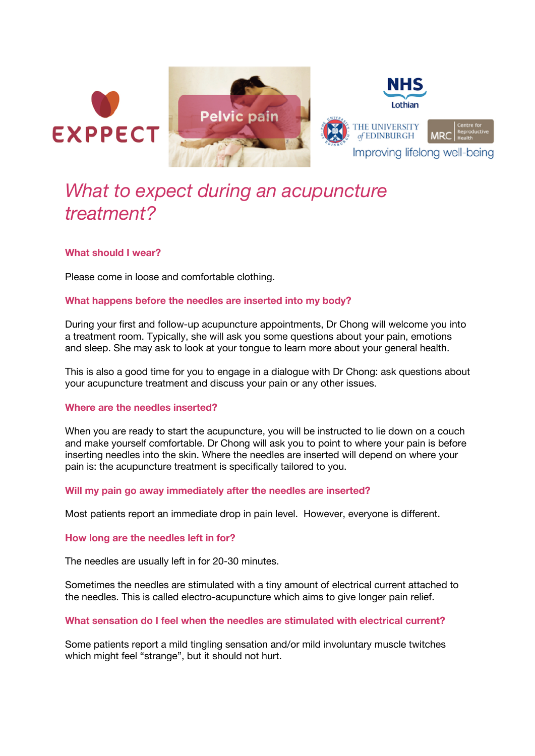





# *What to expect during an acupuncture treatment?*

# **What should I wear?**

Please come in loose and comfortable clothing.

# **What happens before the needles are inserted into my body?**

During your first and follow-up acupuncture appointments, Dr Chong will welcome you into a treatment room. Typically, she will ask you some questions about your pain, emotions and sleep. She may ask to look at your tongue to learn more about your general health.

This is also a good time for you to engage in a dialogue with Dr Chong: ask questions about your acupuncture treatment and discuss your pain or any other issues.

## **Where are the needles inserted?**

When you are ready to start the acupuncture, you will be instructed to lie down on a couch and make yourself comfortable. Dr Chong will ask you to point to where your pain is before inserting needles into the skin. Where the needles are inserted will depend on where your pain is: the acupuncture treatment is specifically tailored to you.

## **Will my pain go away immediately after the needles are inserted?**

Most patients report an immediate drop in pain level. However, everyone is different.

## **How long are the needles left in for?**

The needles are usually left in for 20-30 minutes.

Sometimes the needles are stimulated with a tiny amount of electrical current attached to the needles. This is called electro-acupuncture which aims to give longer pain relief.

## **What sensation do I feel when the needles are stimulated with electrical current?**

Some patients report a mild tingling sensation and/or mild involuntary muscle twitches which might feel "strange", but it should not hurt.